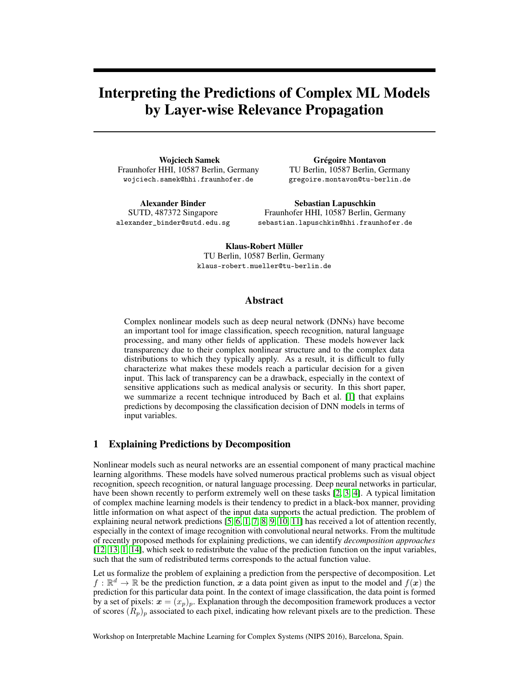# Interpreting the Predictions of Complex ML Models by Layer-wise Relevance Propagation

Wojciech Samek Fraunhofer HHI, 10587 Berlin, Germany wojciech.samek@hhi.fraunhofer.de

Grégoire Montavon TU Berlin, 10587 Berlin, Germany gregoire.montavon@tu-berlin.de

Alexander Binder SUTD, 487372 Singapore alexander\_binder@sutd.edu.sg

Sebastian Lapuschkin Fraunhofer HHI, 10587 Berlin, Germany sebastian.lapuschkin@hhi.fraunhofer.de

Klaus-Robert Müller TU Berlin, 10587 Berlin, Germany klaus-robert.mueller@tu-berlin.de

# Abstract

Complex nonlinear models such as deep neural network (DNNs) have become an important tool for image classification, speech recognition, natural language processing, and many other fields of application. These models however lack transparency due to their complex nonlinear structure and to the complex data distributions to which they typically apply. As a result, it is difficult to fully characterize what makes these models reach a particular decision for a given input. This lack of transparency can be a drawback, especially in the context of sensitive applications such as medical analysis or security. In this short paper, we summarize a recent technique introduced by Bach et al. [\[1\]](#page-4-0) that explains predictions by decomposing the classification decision of DNN models in terms of input variables.

# 1 Explaining Predictions by Decomposition

Nonlinear models such as neural networks are an essential component of many practical machine learning algorithms. These models have solved numerous practical problems such as visual object recognition, speech recognition, or natural language processing. Deep neural networks in particular, have been shown recently to perform extremely well on these tasks [\[2,](#page-4-1) [3,](#page-4-2) [4\]](#page-4-3). A typical limitation of complex machine learning models is their tendency to predict in a black-box manner, providing little information on what aspect of the input data supports the actual prediction. The problem of explaining neural network predictions [\[5,](#page-4-4) [6,](#page-4-5) [1,](#page-4-0) [7,](#page-4-6) [8,](#page-4-7) [9,](#page-4-8) [10,](#page-4-9) [11\]](#page-4-10) has received a lot of attention recently, especially in the context of image recognition with convolutional neural networks. From the multitude of recently proposed methods for explaining predictions, we can identify *decomposition approaches* [\[12,](#page-4-11) [13,](#page-4-12) [1,](#page-4-0) [14\]](#page-4-13), which seek to redistribute the value of the prediction function on the input variables, such that the sum of redistributed terms corresponds to the actual function value.

Let us formalize the problem of explaining a prediction from the perspective of decomposition. Let  $f : \mathbb{R}^d \to \mathbb{R}$  be the prediction function, x a data point given as input to the model and  $f(x)$  the prediction for this particular data point. In the context of image classification, the data point is formed by a set of pixels:  $x = (x_p)_p$ . Explanation through the decomposition framework produces a vector of scores  $(R_p)_p$  associated to each pixel, indicating how relevant pixels are to the prediction. These

Workshop on Interpretable Machine Learning for Complex Systems (NIPS 2016), Barcelona, Spain.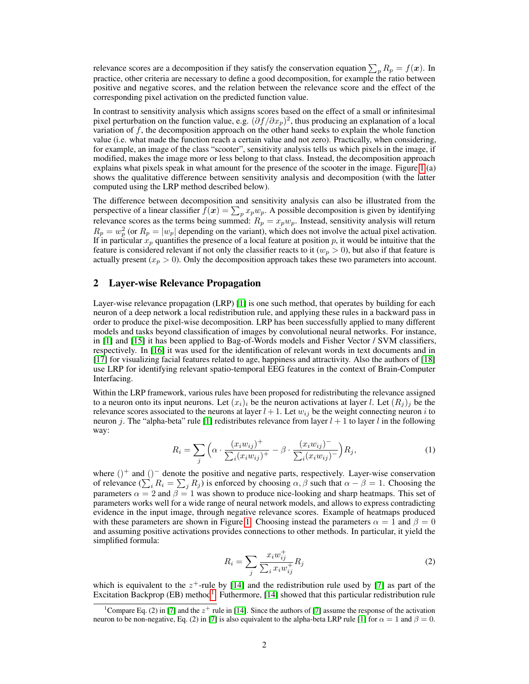relevance scores are a decomposition if they satisfy the conservation equation  $\sum_p R_p = f(x)$ . In practice, other criteria are necessary to define a good decomposition, for example the ratio between positive and negative scores, and the relation between the relevance score and the effect of the corresponding pixel activation on the predicted function value.

In contrast to sensitivity analysis which assigns scores based on the effect of a small or infinitesimal pixel perturbation on the function value, e.g.  $(\partial f/\partial x_p)^2$ , thus producing an explanation of a local variation of  $f$ , the decomposition approach on the other hand seeks to explain the whole function value (i.e. what made the function reach a certain value and not zero). Practically, when considering, for example, an image of the class "scooter", sensitivity analysis tells us which pixels in the image, if modified, makes the image more or less belong to that class. Instead, the decomposition approach explains what pixels speak in what amount for the presence of the scooter in the image. Figure [1](#page-3-0) (a) shows the qualitative difference between sensitivity analysis and decomposition (with the latter computed using the LRP method described below).

The difference between decomposition and sensitivity analysis can also be illustrated from the perspective of a linear classifier  $f(x) = \sum_p x_p w_p$ . A possible decomposition is given by identifying relevance scores as the terms being summed:  $R_p = x_p w_p$ . Instead, sensitivity analysis will return  $R_p = w_p^2$  (or  $R_p = |w_p|$  depending on the variant), which does not involve the actual pixel activation. If in particular  $x_p$  quantifies the presence of a local feature at position p, it would be intuitive that the feature is considered relevant if not only the classifier reacts to it  $(w_p > 0)$ , but also if that feature is actually present  $(x_p > 0)$ . Only the decomposition approach takes these two parameters into account.

### 2 Layer-wise Relevance Propagation

Layer-wise relevance propagation (LRP) [\[1\]](#page-4-0) is one such method, that operates by building for each neuron of a deep network a local redistribution rule, and applying these rules in a backward pass in order to produce the pixel-wise decomposition. LRP has been successfully applied to many different models and tasks beyond classification of images by convolutional neural networks. For instance, in [\[1\]](#page-4-0) and [\[15\]](#page-4-14) it has been applied to Bag-of-Words models and Fisher Vector / SVM classifiers, respectively. In [\[16\]](#page-4-15) it was used for the identification of relevant words in text documents and in [\[17\]](#page-4-16) for visualizing facial features related to age, happiness and attractivity. Also the authors of [\[18\]](#page-4-17) use LRP for identifying relevant spatio-temporal EEG features in the context of Brain-Computer Interfacing.

Within the LRP framework, various rules have been proposed for redistributing the relevance assigned to a neuron onto its input neurons. Let  $(x_i)_i$  be the neuron activations at layer l. Let  $(R_j)_i$  be the relevance scores associated to the neurons at layer  $l + 1$ . Let  $w_{ij}$  be the weight connecting neuron i to neuron j. The "alpha-beta" rule [\[1\]](#page-4-0) redistributes relevance from layer  $l + 1$  to layer l in the following way:

$$
R_i = \sum_j \left( \alpha \cdot \frac{(x_i w_{ij})^+}{\sum_i (x_i w_{ij})^+} - \beta \cdot \frac{(x_i w_{ij})^-}{\sum_i (x_i w_{ij})^-} \right) R_j,\tag{1}
$$

where ()<sup>+</sup> and ()<sup>-</sup> denote the positive and negative parts, respectively. Layer-wise conservation of relevance  $(\sum_i R_i = \sum_j R_j)$  is enforced by choosing  $\alpha, \beta$  such that  $\alpha - \beta = 1$ . Choosing the parameters  $\alpha = 2$  and  $\beta = 1$  was shown to produce nice-looking and sharp heatmaps. This set of parameters works well for a wide range of neural network models, and allows to express contradicting evidence in the input image, through negative relevance scores. Example of heatmaps produced with these parameters are shown in Figure [1.](#page-3-0) Choosing instead the parameters  $\alpha = 1$  and  $\beta = 0$ and assuming positive activations provides connections to other methods. In particular, it yield the simplified formula:

<span id="page-1-1"></span>
$$
R_i = \sum_j \frac{x_i w_{ij}^+}{\sum_i x_i w_{ij}^+} R_j \tag{2}
$$

which is equivalent to the  $z^+$ -rule by [\[14\]](#page-4-13) and the redistribution rule used by [\[7\]](#page-4-6) as part of the Excitation Backprop (EB) method<sup>[1](#page-1-0)</sup>. Futhermore, [\[14\]](#page-4-13) showed that this particular redistribution rule

<span id="page-1-0"></span><sup>&</sup>lt;sup>1</sup>Compare Eq. (2) in [\[7\]](#page-4-6) and the  $z^+$  rule in [\[14\]](#page-4-13). Since the authors of [7] assume the response of the activation neuron to be non-negative, Eq. (2) in [\[7\]](#page-4-6) is also equivalent to the alpha-beta LRP rule [\[1\]](#page-4-0) for  $\alpha = 1$  and  $\beta = 0$ .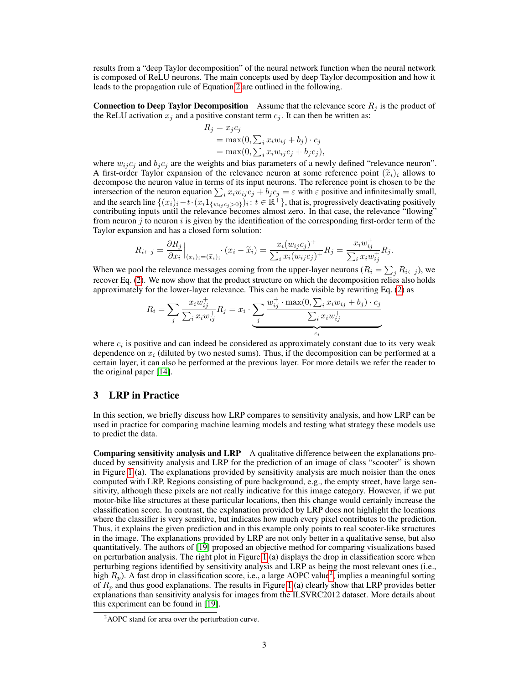results from a "deep Taylor decomposition" of the neural network function when the neural network is composed of ReLU neurons. The main concepts used by deep Taylor decomposition and how it leads to the propagation rule of Equation [2](#page-1-1) are outlined in the following.

**Connection to Deep Taylor Decomposition** Assume that the relevance score  $R_i$  is the product of the ReLU activation  $x_i$  and a positive constant term  $c_i$ . It can then be written as:

$$
R_j = x_j c_j
$$
  
= max(0,  $\sum_i x_i w_{ij} + b_j \cdot c_j$   
= max(0,  $\sum_i x_i w_{ij} c_j + b_j c_j$ ),

where  $w_{ij} c_j$  and  $b_j c_j$  are the weights and bias parameters of a newly defined "relevance neuron". A first-order Taylor expansion of the relevance neuron at some reference point  $(\tilde{x}_i)_i$  allows to decompose the neuron value in terms of its input neurons. The reference point is chosen to be the intersection of the neuron equation  $\sum_i x_i w_{ij} c_j + b_j c_j = \varepsilon$  with  $\varepsilon$  positive and infinitesimally small, and the search line  $\{(x_i)_i - t \cdot (x_i 1_{\{w_{ij}c_j>0\}})_i : t \in \mathbb{R}^+\}$ , that is, progressively deactivating positively contributing inputs until the relevance becomes almost zero. In that case, the relevance "flowing" from neuron  $j$  to neuron  $i$  is given by the identification of the corresponding first-order term of the Taylor expansion and has a closed form solution:

$$
R_{i \leftarrow j} = \frac{\partial R_j}{\partial x_i} \Big|_{(x_i)_i = (\widetilde{x}_i)_i} \cdot (x_i - \widetilde{x}_i) = \frac{x_i (w_{ij} c_j)^+}{\sum_i x_i (w_{ij} c_j)^+} R_j = \frac{x_i w_{ij}^+}{\sum_i x_i w_{ij}^+} R_j.
$$

When we pool the relevance messages coming from the upper-layer neurons ( $R_i = \sum_j R_{i \leftarrow j}$ ), we recover Eq. [\(2\)](#page-1-1). We now show that the product structure on which the decomposition relies also holds approximately for the lower-layer relevance. This can be made visible by rewriting Eq. [\(2\)](#page-1-1) as

$$
R_{i} = \sum_{j} \frac{x_{i}w_{ij}^{+}}{\sum_{i} x_{i}w_{ij}^{+}} R_{j} = x_{i} \cdot \underbrace{\sum_{j} \frac{w_{ij}^{+} \cdot \max(0, \sum_{i} x_{i}w_{ij} + b_{j}) \cdot c_{j}}{\sum_{i} x_{i}w_{ij}^{+}}}_{c_{i}}
$$

where  $c_i$  is positive and can indeed be considered as approximately constant due to its very weak dependence on  $x_i$  (diluted by two nested sums). Thus, if the decomposition can be performed at a certain layer, it can also be performed at the previous layer. For more details we refer the reader to the original paper [\[14\]](#page-4-13).

# 3 LRP in Practice

In this section, we briefly discuss how LRP compares to sensitivity analysis, and how LRP can be used in practice for comparing machine learning models and testing what strategy these models use to predict the data.

Comparing sensitivity analysis and LRP A qualitative difference between the explanations produced by sensitivity analysis and LRP for the prediction of an image of class "scooter" is shown in Figure [1](#page-3-0) (a). The explanations provided by sensitivity analysis are much noisier than the ones computed with LRP. Regions consisting of pure background, e.g., the empty street, have large sensitivity, although these pixels are not really indicative for this image category. However, if we put motor-bike like structures at these particular locations, then this change would certainly increase the classification score. In contrast, the explanation provided by LRP does not highlight the locations where the classifier is very sensitive, but indicates how much every pixel contributes to the prediction. Thus, it explains the given prediction and in this example only points to real scooter-like structures in the image. The explanations provided by LRP are not only better in a qualitative sense, but also quantitatively. The authors of [\[19\]](#page-4-18) proposed an objective method for comparing visualizations based on perturbation analysis. The right plot in Figure [1](#page-3-0) (a) displays the drop in classification score when perturbing regions identified by sensitivity analysis and LRP as being the most relevant ones (i.e., high  $R_p$ ). A fast drop in classification score, i.e., a large AOPC value<sup>[2](#page-2-0)</sup>, implies a meaningful sorting of  $R_p$  and thus good explanations. The results in Figure [1](#page-3-0) (a) clearly show that LRP provides better explanations than sensitivity analysis for images from the ILSVRC2012 dataset. More details about this experiment can be found in [\[19\]](#page-4-18).

<span id="page-2-0"></span><sup>&</sup>lt;sup>2</sup>AOPC stand for area over the perturbation curve.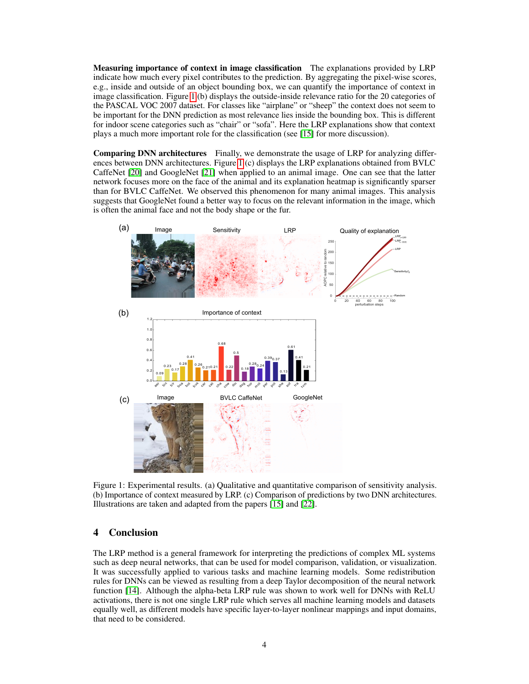Measuring importance of context in image classification The explanations provided by LRP indicate how much every pixel contributes to the prediction. By aggregating the pixel-wise scores, e.g., inside and outside of an object bounding box, we can quantify the importance of context in image classification. Figure [1](#page-3-0) (b) displays the outside-inside relevance ratio for the 20 categories of the PASCAL VOC 2007 dataset. For classes like "airplane" or "sheep" the context does not seem to be important for the DNN prediction as most relevance lies inside the bounding box. This is different for indoor scene categories such as "chair" or "sofa". Here the LRP explanations show that context plays a much more important role for the classification (see [\[15\]](#page-4-14) for more discussion).

Comparing DNN architectures Finally, we demonstrate the usage of LRP for analyzing differences between DNN architectures. Figure [1](#page-3-0) (c) displays the LRP explanations obtained from BVLC CaffeNet [\[20\]](#page-4-19) and GoogleNet [\[21\]](#page-4-20) when applied to an animal image. One can see that the latter network focuses more on the face of the animal and its explanation heatmap is significantly sparser than for BVLC CaffeNet. We observed this phenomenon for many animal images. This analysis suggests that GoogleNet found a better way to focus on the relevant information in the image, which is often the animal face and not the body shape or the fur.



<span id="page-3-0"></span>Figure 1: Experimental results. (a) Qualitative and quantitative comparison of sensitivity analysis. (b) Importance of context measured by LRP. (c) Comparison of predictions by two DNN architectures. Illustrations are taken and adapted from the papers [\[15\]](#page-4-14) and [\[22\]](#page-4-21).

# 4 Conclusion

The LRP method is a general framework for interpreting the predictions of complex ML systems such as deep neural networks, that can be used for model comparison, validation, or visualization. It was successfully applied to various tasks and machine learning models. Some redistribution rules for DNNs can be viewed as resulting from a deep Taylor decomposition of the neural network function [\[14\]](#page-4-13). Although the alpha-beta LRP rule was shown to work well for DNNs with ReLU activations, there is not one single LRP rule which serves all machine learning models and datasets equally well, as different models have specific layer-to-layer nonlinear mappings and input domains, that need to be considered.